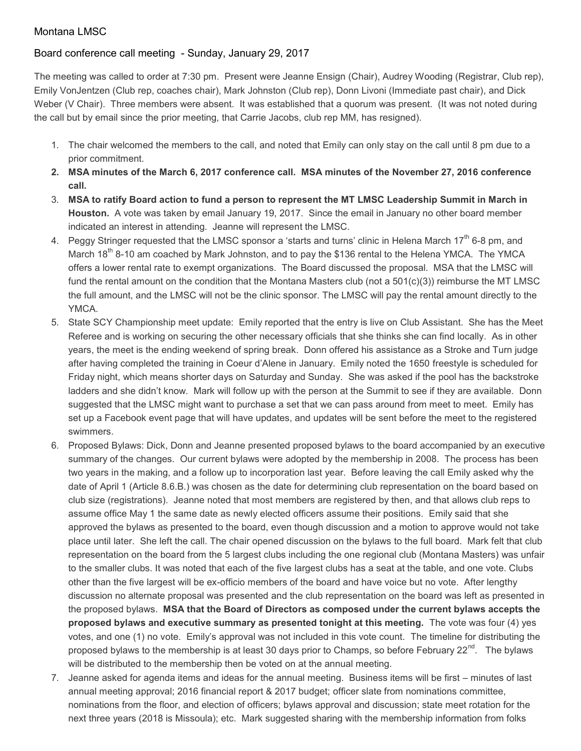## Montana LMSC

## Board conference call meeting - Sunday, January 29, 2017

The meeting was called to order at 7:30 pm. Present were Jeanne Ensign (Chair), Audrey Wooding (Registrar, Club rep), Emily VonJentzen (Club rep, coaches chair), Mark Johnston (Club rep), Donn Livoni (Immediate past chair), and Dick Weber (V Chair). Three members were absent. It was established that a quorum was present. (It was not noted during the call but by email since the prior meeting, that Carrie Jacobs, club rep MM, has resigned).

- 1. The chair welcomed the members to the call, and noted that Emily can only stay on the call until 8 pm due to a prior commitment.
- **2. MSA minutes of the March 6, 2017 conference call. MSA minutes of the November 27, 2016 conference call.**
- 3. **MSA to ratify Board action to fund a person to represent the MT LMSC Leadership Summit in March in Houston.** A vote was taken by email January 19, 2017. Since the email in January no other board member indicated an interest in attending. Jeanne will represent the LMSC.
- 4. Peggy Stringer requested that the LMSC sponsor a 'starts and turns' clinic in Helena March 17<sup>th</sup> 6-8 pm, and March 18<sup>th</sup> 8-10 am coached by Mark Johnston, and to pay the \$136 rental to the Helena YMCA. The YMCA offers a lower rental rate to exempt organizations. The Board discussed the proposal. MSA that the LMSC will fund the rental amount on the condition that the Montana Masters club (not a 501(c)(3)) reimburse the MT LMSC the full amount, and the LMSC will not be the clinic sponsor. The LMSC will pay the rental amount directly to the YMCA.
- 5. State SCY Championship meet update: Emily reported that the entry is live on Club Assistant. She has the Meet Referee and is working on securing the other necessary officials that she thinks she can find locally. As in other years, the meet is the ending weekend of spring break. Donn offered his assistance as a Stroke and Turn judge after having completed the training in Coeur d'Alene in January. Emily noted the 1650 freestyle is scheduled for Friday night, which means shorter days on Saturday and Sunday. She was asked if the pool has the backstroke ladders and she didn't know. Mark will follow up with the person at the Summit to see if they are available. Donn suggested that the LMSC might want to purchase a set that we can pass around from meet to meet. Emily has set up a Facebook event page that will have updates, and updates will be sent before the meet to the registered swimmers.
- 6. Proposed Bylaws: Dick, Donn and Jeanne presented proposed bylaws to the board accompanied by an executive summary of the changes. Our current bylaws were adopted by the membership in 2008. The process has been two years in the making, and a follow up to incorporation last year. Before leaving the call Emily asked why the date of April 1 (Article 8.6.B.) was chosen as the date for determining club representation on the board based on club size (registrations). Jeanne noted that most members are registered by then, and that allows club reps to assume office May 1 the same date as newly elected officers assume their positions. Emily said that she approved the bylaws as presented to the board, even though discussion and a motion to approve would not take place until later. She left the call. The chair opened discussion on the bylaws to the full board. Mark felt that club representation on the board from the 5 largest clubs including the one regional club (Montana Masters) was unfair to the smaller clubs. It was noted that each of the five largest clubs has a seat at the table, and one vote. Clubs other than the five largest will be ex-officio members of the board and have voice but no vote. After lengthy discussion no alternate proposal was presented and the club representation on the board was left as presented in the proposed bylaws. **MSA that the Board of Directors as composed under the current bylaws accepts the proposed bylaws and executive summary as presented tonight at this meeting.** The vote was four (4) yes votes, and one (1) no vote. Emily's approval was not included in this vote count. The timeline for distributing the proposed bylaws to the membership is at least 30 days prior to Champs, so before February  $22^{nd}$ . The bylaws will be distributed to the membership then be voted on at the annual meeting.
- 7. Jeanne asked for agenda items and ideas for the annual meeting. Business items will be first minutes of last annual meeting approval; 2016 financial report & 2017 budget; officer slate from nominations committee, nominations from the floor, and election of officers; bylaws approval and discussion; state meet rotation for the next three years (2018 is Missoula); etc. Mark suggested sharing with the membership information from folks